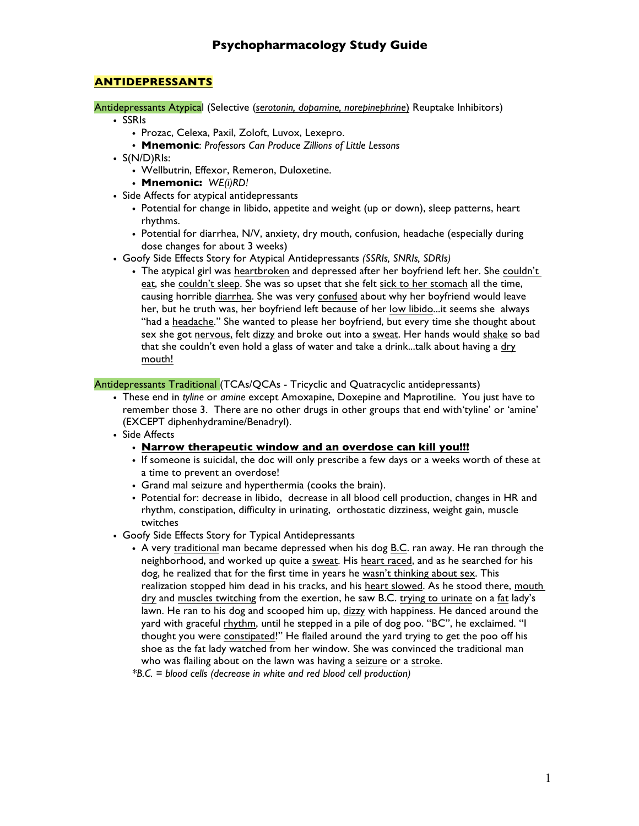## **ANTIDEPRESSANTS**

Antidepressants Atypical (Selective (*serotonin, dopamine, norepinephrine*) Reuptake Inhibitors)

- SSRIs
	- Prozac, Celexa, Paxil, Zoloft, Luvox, Lexepro.
	- **Mnemonic**: *Professors Can Produce Zillions of Little Lessons*
- S(N/D)RIs:
	- Wellbutrin, Effexor, Remeron, Duloxetine.
	- **Mnemonic:** *WE(i)RD!*
- Side Affects for atypical antidepressants
	- Potential for change in libido, appetite and weight (up or down), sleep patterns, heart rhythms.
	- Potential for diarrhea, N/V, anxiety, dry mouth, confusion, headache (especially during dose changes for about 3 weeks)
- Goofy Side Effects Story for Atypical Antidepressants *(SSRIs, SNRIs, SDRIs)*
	- The atypical girl was heartbroken and depressed after her boyfriend left her. She couldn't eat, she couldn't sleep. She was so upset that she felt sick to her stomach all the time, causing horrible diarrhea. She was very confused about why her boyfriend would leave her, but he truth was, her boyfriend left because of her low libido...it seems she always "had a headache." She wanted to please her boyfriend, but every time she thought about sex she got nervous, felt dizzy and broke out into a sweat. Her hands would shake so bad that she couldn't even hold a glass of water and take a drink...talk about having a dry mouth!

Antidepressants Traditional (TCAs/QCAs - Tricyclic and Quatracyclic antidepressants)

- These end in *tyline* or *amine* except Amoxapine, Doxepine and Maprotiline. You just have to remember those 3. There are no other drugs in other groups that end with'tyline' or 'amine' (EXCEPT diphenhydramine/Benadryl).
- Side Affects
	- **Narrow therapeutic window and an overdose can kill you!!!**
	- If someone is suicidal, the doc will only prescribe a few days or a weeks worth of these at a time to prevent an overdose!
	- Grand mal seizure and hyperthermia (cooks the brain).
	- Potential for: decrease in libido, decrease in all blood cell production, changes in HR and rhythm, constipation, difficulty in urinating, orthostatic dizziness, weight gain, muscle twitches
- Goofy Side Effects Story for Typical Antidepressants
	- A very traditional man became depressed when his dog B.C. ran away. He ran through the neighborhood, and worked up quite a sweat. His heart raced, and as he searched for his dog, he realized that for the first time in years he wasn't thinking about sex. This realization stopped him dead in his tracks, and his heart slowed. As he stood there, mouth dry and muscles twitching from the exertion, he saw B.C. trying to urinate on a fat lady's lawn. He ran to his dog and scooped him up, dizzy with happiness. He danced around the yard with graceful rhythm, until he stepped in a pile of dog poo. "BC", he exclaimed. "I thought you were constipated!" He flailed around the yard trying to get the poo off his shoe as the fat lady watched from her window. She was convinced the traditional man who was flailing about on the lawn was having a seizure or a stroke.

*\*B.C. = blood cells (decrease in white and red blood cell production)*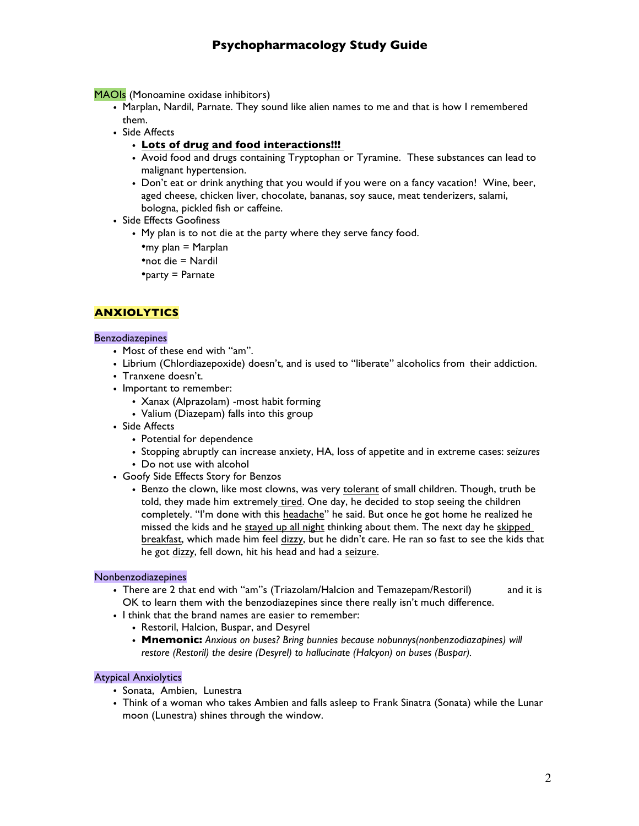# **Psychopharmacology Study Guide**

MAOIs (Monoamine oxidase inhibitors)

- Marplan, Nardil, Parnate. They sound like alien names to me and that is how I remembered them.
- Side Affects
	- **Lots of drug and food interactions!!!**
	- Avoid food and drugs containing Tryptophan or Tyramine. These substances can lead to malignant hypertension.
	- Don't eat or drink anything that you would if you were on a fancy vacation! Wine, beer, aged cheese, chicken liver, chocolate, bananas, soy sauce, meat tenderizers, salami, bologna, pickled fish or caffeine.
- Side Effects Goofiness
	- My plan is to not die at the party where they serve fancy food.
		- •my plan = Marplan
		- •not die = Nardil
		- •party = Parnate

## **ANXIOLYTICS**

#### Benzodiazepines

- Most of these end with "am".
- Librium (Chlordiazepoxide) doesn't, and is used to "liberate" alcoholics from their addiction.
- Tranxene doesn't.
- Important to remember:
	- Xanax (Alprazolam) -most habit forming
	- Valium (Diazepam) falls into this group
- Side Affects
	- Potential for dependence
	- Stopping abruptly can increase anxiety, HA, loss of appetite and in extreme cases: *seizures*
	- Do not use with alcohol
- Goofy Side Effects Story for Benzos
	- Benzo the clown, like most clowns, was very tolerant of small children. Though, truth be told, they made him extremely tired. One day, he decided to stop seeing the children completely. "I'm done with this headache" he said. But once he got home he realized he missed the kids and he stayed up all night thinking about them. The next day he skipped breakfast, which made him feel dizzy, but he didn't care. He ran so fast to see the kids that he got dizzy, fell down, hit his head and had a seizure.

#### Nonbenzodiazepines

- There are 2 that end with "am"s (Triazolam/Halcion and Temazepam/Restoril) and it is OK to learn them with the benzodiazepines since there really isn't much difference.
- I think that the brand names are easier to remember:
	- Restoril, Halcion, Buspar, and Desyrel
	- **Mnemonic:** *Anxious on buses? Bring bunnies because nobunnys(nonbenzodiazapines) will restore (Restoril) the desire (Desyrel) to hallucinate (Halcyon) on buses (Buspar).*

### Atypical Anxiolytics

- Sonata, Ambien, Lunestra
- Think of a woman who takes Ambien and falls asleep to Frank Sinatra (Sonata) while the Lunar moon (Lunestra) shines through the window.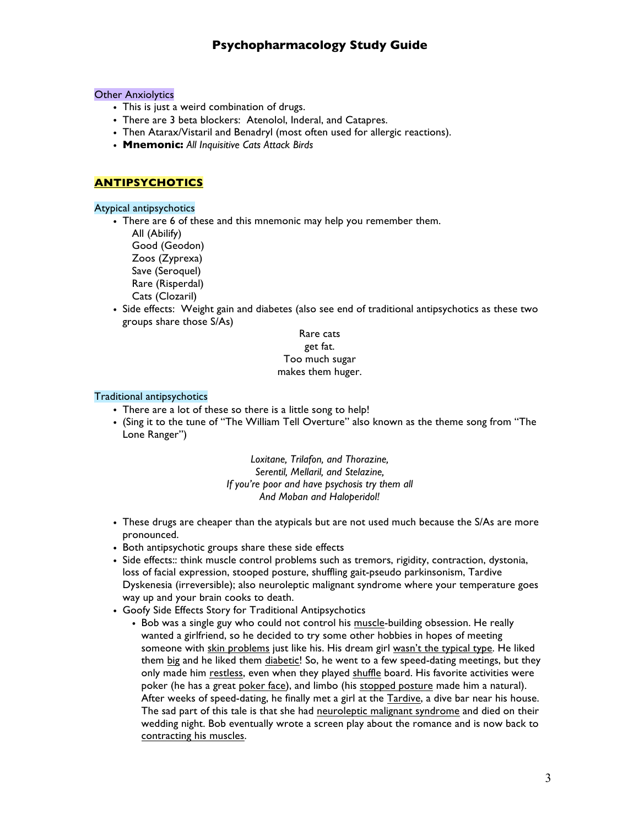# **Psychopharmacology Study Guide**

#### **Other Anxiolytics**

- This is just a weird combination of drugs.
- There are 3 beta blockers: Atenolol, Inderal, and Catapres.
- Then Atarax/Vistaril and Benadryl (most often used for allergic reactions).
- **Mnemonic:** *All Inquisitive Cats Attack Birds*

### **ANTIPSYCHOTICS**

#### Atypical antipsychotics

• There are 6 of these and this mnemonic may help you remember them.

All (Abilify) Good (Geodon) Zoos (Zyprexa)

- Save (Seroquel)
- Rare (Risperdal)
- Cats (Clozaril)
- Side effects: Weight gain and diabetes (also see end of traditional antipsychotics as these two groups share those S/As)

#### Rare cats

get fat. Too much sugar makes them huger.

#### Traditional antipsychotics

- There are a lot of these so there is a little song to help!
- (Sing it to the tune of "The William Tell Overture" also known as the theme song from "The Lone Ranger")

*Loxitane, Trilafon, and Thorazine, Serentil, Mellaril, and Stelazine, If you're poor and have psychosis try them all And Moban and Haloperidol!*

- These drugs are cheaper than the atypicals but are not used much because the S/As are more pronounced.
- Both antipsychotic groups share these side effects
- Side effects:: think muscle control problems such as tremors, rigidity, contraction, dystonia, loss of facial expression, stooped posture, shuffling gait-pseudo parkinsonism, Tardive Dyskenesia (irreversible); also neuroleptic malignant syndrome where your temperature goes way up and your brain cooks to death.
- Goofy Side Effects Story for Traditional Antipsychotics
	- Bob was a single guy who could not control his muscle-building obsession. He really wanted a girlfriend, so he decided to try some other hobbies in hopes of meeting someone with skin problems just like his. His dream girl wasn't the typical type. He liked them big and he liked them diabetic! So, he went to a few speed-dating meetings, but they only made him restless, even when they played shuffle board. His favorite activities were poker (he has a great poker face), and limbo (his stopped posture made him a natural). After weeks of speed-dating, he finally met a girl at the Tardive, a dive bar near his house. The sad part of this tale is that she had neuroleptic malignant syndrome and died on their wedding night. Bob eventually wrote a screen play about the romance and is now back to contracting his muscles.